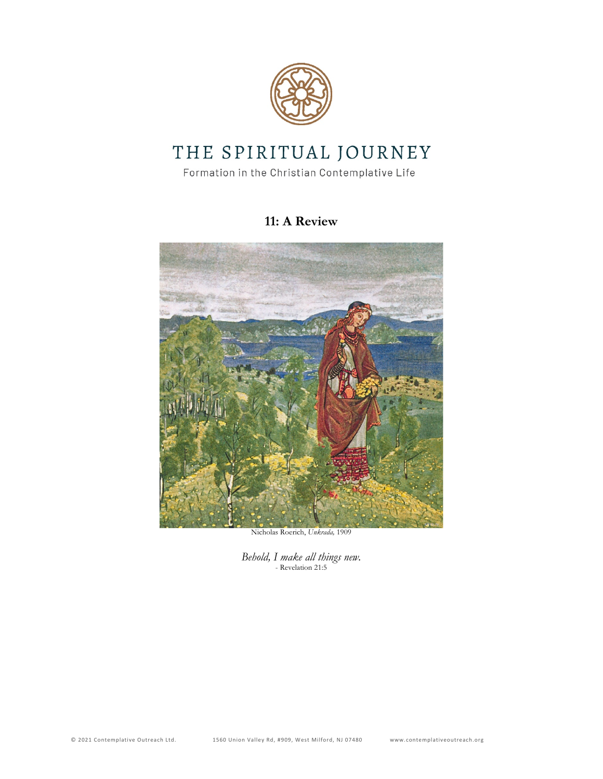

# THE SPIRITUAL JOURNEY

Formation in the Christian Contemplative Life

## **11: A Review**



Nicholas Roerich, *Unkrada,* 1909

*Behold, I make all things new.* - Revelation 21:5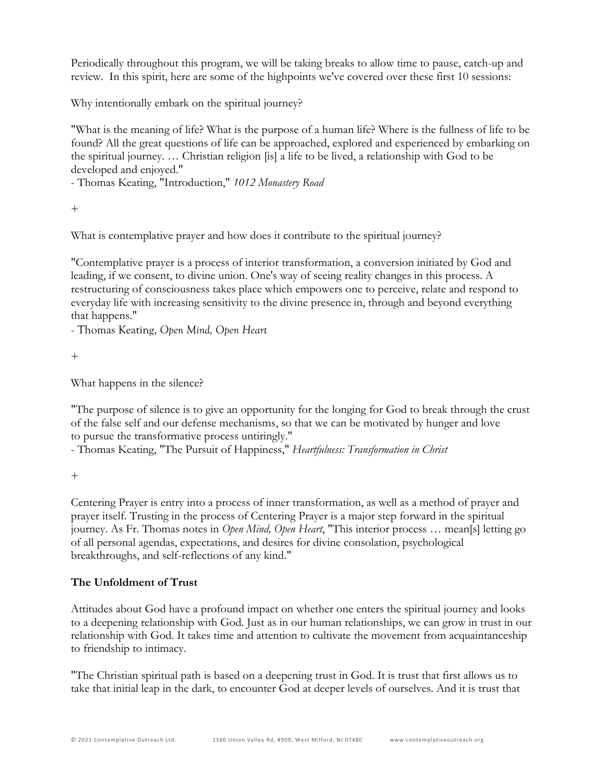Periodically throughout this program, we will be taking breaks to allow time to pause, catch-up and review. In this spirit, here are some of the highpoints we've covered over these first 10 sessions:

Why intentionally embark on the spiritual journey?

"What is the meaning of life? What is the purpose of a human life? Where is the fullness of life to be found? All the great questions of life can be approached, explored and experienced by embarking on the spiritual journey. … Christian religion [is] a life to be lived, a relationship with God to be developed and enjoyed."

- Thomas Keating, "Introduction," *1012 Monastery Road*

+

What is contemplative prayer and how does it contribute to the spiritual journey?

"Contemplative prayer is a process of interior transformation, a conversion initiated by God and leading, if we consent, to divine union. One's way of seeing reality changes in this process. A restructuring of consciousness takes place which empowers one to perceive, relate and respond to everyday life with increasing sensitivity to the divine presence in, through and beyond everything that happens."

- Thomas Keating, *Open Mind, Open Heart*

+

What happens in the silence?

"The purpose of silence is to give an opportunity for the longing for God to break through the crust of the false self and our defense mechanisms, so that we can be motivated by hunger and love to pursue the transformative process untiringly."

- Thomas Keating, "The Pursuit of Happiness," *Heartfulness: Transformation in Christ* 

+

Centering Prayer is entry into a process of inner transformation, as well as a method of prayer and prayer itself. Trusting in the process of Centering Prayer is a major step forward in the spiritual journey. As Fr. Thomas notes in *Open Mind, Open Heart*, "This interior process … mean[s] letting go of all personal agendas, expectations, and desires for divine consolation, psychological breakthroughs, and self-reflections of any kind."

### **The Unfoldment of Trust**

Attitudes about God have a profound impact on whether one enters the spiritual journey and looks to a deepening relationship with God. Just as in our human relationships, we can grow in trust in our relationship with God. It takes time and attention to cultivate the movement from acquaintanceship to friendship to intimacy.

"The Christian spiritual path is based on a deepening trust in God. It is trust that first allows us to take that initial leap in the dark, to encounter God at deeper levels of ourselves. And it is trust that